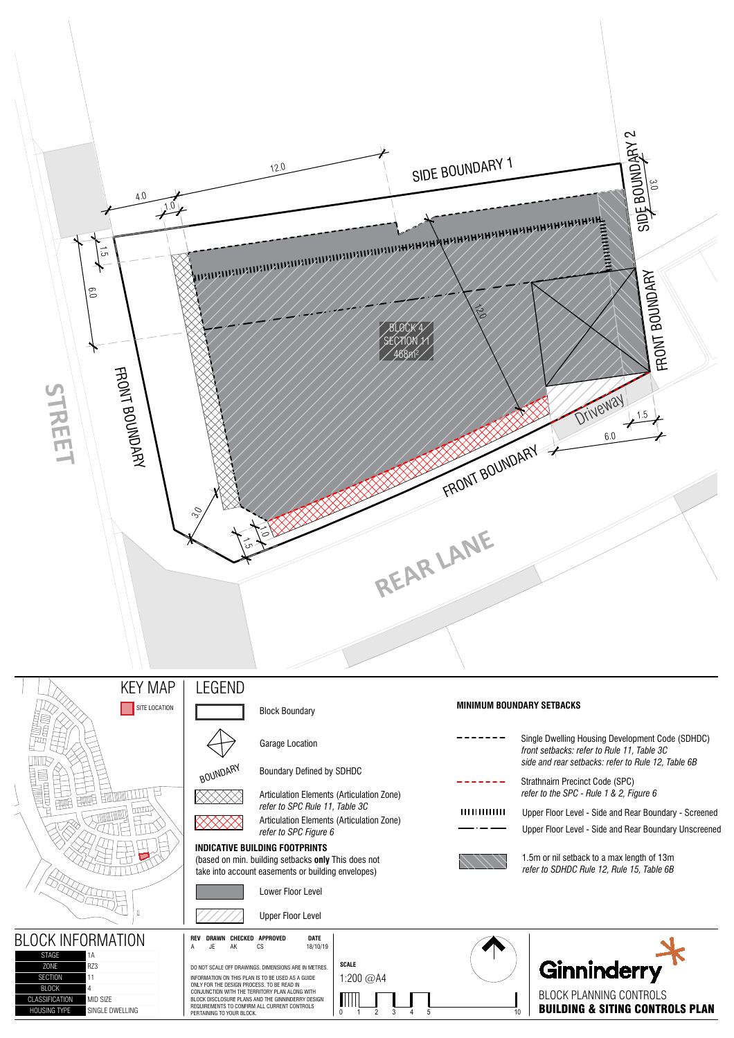